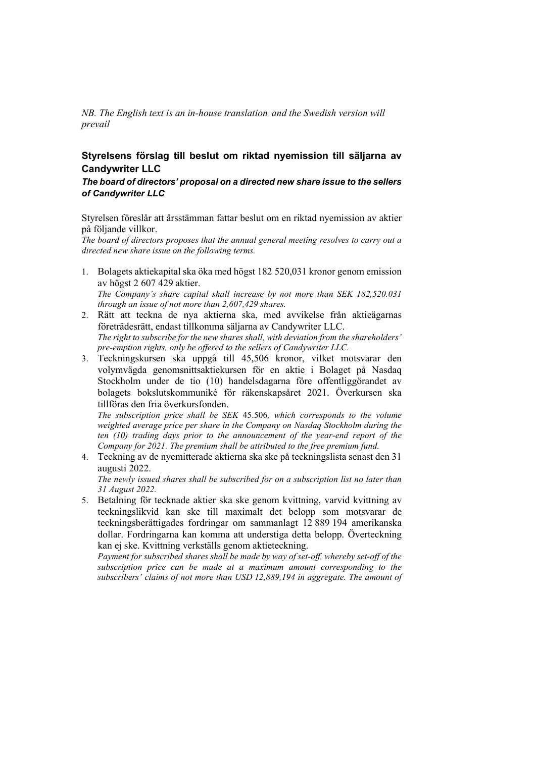*NB. The English text is an in-house translation, and the Swedish version will prevail*

## **Styrelsens förslag till beslut om riktad nyemission till säljarna av Candywriter LLC**

## *The board of directors' proposal on a directed new share issue to the sellers of Candywriter LLC*

Styrelsen föreslår att årsstämman fattar beslut om en riktad nyemission av aktier på följande villkor.

*The board of directors proposes that the annual general meeting resolves to carry out a directed new share issue on the following terms.* 

1. Bolagets aktiekapital ska öka med högst 182 520,031 kronor genom emission av högst 2 607 429 aktier.

*The Company's share capital shall increase by not more than SEK 182,520.031 through an issue of not more than 2,607,429 shares.* 

- 2. Rätt att teckna de nya aktierna ska, med avvikelse från aktieägarnas företrädesrätt, endast tillkomma säljarna av Candywriter LLC. *The right to subscribe for the new shares shall, with deviation from the shareholders' pre-emption rights, only be offered to the sellers of Candywriter LLC.*
- 3. Teckningskursen ska uppgå till 45,506 kronor, vilket motsvarar den volymvägda genomsnittsaktiekursen för en aktie i Bolaget på Nasdaq Stockholm under de tio (10) handelsdagarna före offentliggörandet av bolagets bokslutskommuniké för räkenskapsåret 2021. Överkursen ska tillföras den fria överkursfonden.

*The subscription price shall be SEK* 45.506*, which corresponds to the volume weighted average price per share in the Company on Nasdaq Stockholm during the ten (10) trading days prior to the announcement of the year-end report of the Company for 2021. The premium shall be attributed to the free premium fund.* 

4. Teckning av de nyemitterade aktierna ska ske på teckningslista senast den 31 augusti 2022.

*The newly issued shares shall be subscribed for on a subscription list no later than 31 August 2022.* 

5. Betalning för tecknade aktier ska ske genom kvittning, varvid kvittning av teckningslikvid kan ske till maximalt det belopp som motsvarar de teckningsberättigades fordringar om sammanlagt 12 889 194 amerikanska dollar. Fordringarna kan komma att understiga detta belopp. Överteckning kan ej ske. Kvittning verkställs genom aktieteckning.

*Payment for subscribed shares shall be made by way of set-off, whereby set-off of the subscription price can be made at a maximum amount corresponding to the subscribers' claims of not more than USD 12,889,194 in aggregate. The amount of*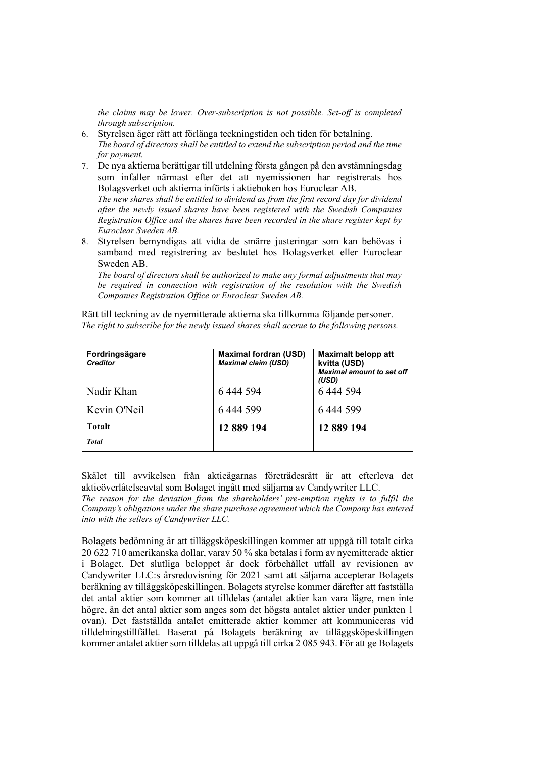*the claims may be lower. Over-subscription is not possible. Set-off is completed through subscription.* 

- 6. Styrelsen äger rätt att förlänga teckningstiden och tiden för betalning. *The board of directors shall be entitled to extend the subscription period and the time for payment.*
- 7. De nya aktierna berättigar till utdelning första gången på den avstämningsdag som infaller närmast efter det att nyemissionen har registrerats hos Bolagsverket och aktierna införts i aktieboken hos Euroclear AB. *The new shares shall be entitled to dividend as from the first record day for dividend after the newly issued shares have been registered with the Swedish Companies*

*Registration Office and the shares have been recorded in the share register kept by Euroclear Sweden AB.* 

8. Styrelsen bemyndigas att vidta de smärre justeringar som kan behövas i samband med registrering av beslutet hos Bolagsverket eller Euroclear Sweden AB.

*The board of directors shall be authorized to make any formal adjustments that may be required in connection with registration of the resolution with the Swedish Companies Registration Office or Euroclear Sweden AB.* 

Rätt till teckning av de nyemitterade aktierna ska tillkomma följande personer. *The right to subscribe for the newly issued shares shall accrue to the following persons.* 

| Fordringsägare<br><b>Creditor</b> | <b>Maximal fordran (USD)</b><br><b>Maximal claim (USD)</b> | <b>Maximalt belopp att</b><br>kvitta (USD)<br><b>Maximal amount to set off</b><br>(USD) |
|-----------------------------------|------------------------------------------------------------|-----------------------------------------------------------------------------------------|
| Nadir Khan                        | 6444594                                                    | 6 444 594                                                                               |
| Kevin O'Neil                      | 6 444 599                                                  | 6444 599                                                                                |
| <b>Totalt</b>                     | 12 889 194                                                 | 12 889 194                                                                              |
| <b>Total</b>                      |                                                            |                                                                                         |

Skälet till avvikelsen från aktieägarnas företrädesrätt är att efterleva det aktieöverlåtelseavtal som Bolaget ingått med säljarna av Candywriter LLC.

*The reason for the deviation from the shareholders' pre-emption rights is to fulfil the Company's obligations under the share purchase agreement which the Company has entered into with the sellers of Candywriter LLC.*

Bolagets bedömning är att tilläggsköpeskillingen kommer att uppgå till totalt cirka 20 622 710 amerikanska dollar, varav 50 % ska betalas i form av nyemitterade aktier i Bolaget. Det slutliga beloppet är dock förbehållet utfall av revisionen av Candywriter LLC:s årsredovisning för 2021 samt att säljarna accepterar Bolagets beräkning av tilläggsköpeskillingen. Bolagets styrelse kommer därefter att fastställa det antal aktier som kommer att tilldelas (antalet aktier kan vara lägre, men inte högre, än det antal aktier som anges som det högsta antalet aktier under punkten 1 ovan). Det fastställda antalet emitterade aktier kommer att kommuniceras vid tilldelningstillfället. Baserat på Bolagets beräkning av tilläggsköpeskillingen kommer antalet aktier som tilldelas att uppgå till cirka 2 085 943. För att ge Bolagets